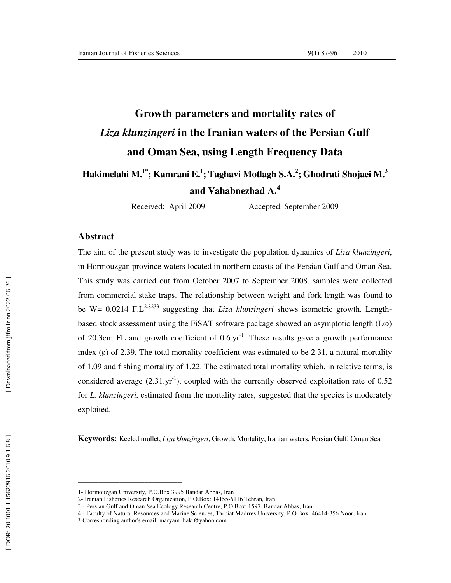# **Growth parameters and mortality rates of**  *Liza klunzingeri* **in the Iranian waters of the Persian Gulf and Oman Sea, using Length Frequency Data**

# **Hakimelahi M.1\*; Kamrani E. 1 ; Taghavi Motlagh S.A. 2 ; Ghodrati Shojaei M. 3 and Vahabnezhad A. 4**

Received: April 2009 Accepted: September 2009

#### **Abstract**

The aim of the present study was to investigate the population dynamics of *Liza klunzingeri*, in Hormouzgan province waters located in northern coasts of the Persian Gulf and Oman Sea. This study was carried out from October 2007 to September 2008. samples were collected from commercial stake traps. The relationship between weight and fork length was found to be W= 0.0214 F.L<sup>2.8233</sup> suggesting that *Liza klunzingeri* shows isometric growth. Lengthbased stock assessment using the FiSAT software package showed an asymptotic length ( $L\infty$ ) of 20.3cm FL and growth coefficient of  $0.6$ .yr<sup>-1</sup>. These results gave a growth performance index  $(\emptyset)$  of 2.39. The total mortality coefficient was estimated to be 2.31, a natural mortality of 1.09 and fishing mortality of 1.22. The estimated total mortality which, in relative terms, is considered average  $(2.31.\text{yr}^{-1})$ , coupled with the currently observed exploitation rate of 0.52 for *L. klunzingeri*, estimated from the mortality rates, suggested that the species is moderately exploited.

**Keywords:** Keeled mullet, *Liza klunzingeri*, Growth, Mortality, Iranian waters, Persian Gulf, Oman Sea

**\_\_\_\_\_\_\_\_\_\_\_\_\_\_\_\_\_\_\_\_\_\_\_\_\_** 

<sup>1-</sup> Hormouzgan University, P.O.Box 3995 Bandar Abbas, Iran

<sup>2-</sup> Iranian Fisheries Research Organization, P.O.Box: 14155-6116 Tehran, Iran

<sup>3 -</sup> Persian Gulf and Oman Sea Ecology Research Centre, P.O.Box: 1597 Bandar Abbas, Iran

<sup>4 -</sup> Faculty of Natural Resources and Marine Sciences, Tarbiat Madrres University, P.O.Box: 46414-356 Noor, Iran

<sup>\*</sup> Corresponding author's email: maryam\_hak @yahoo.com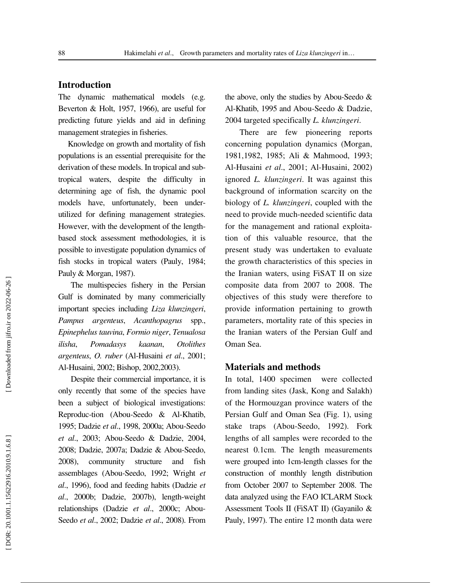# **Introduction**

The dynamic mathematical models (e.g. Beverton & Holt, 1957, 1966), are useful for predicting future yields and aid in defining management strategies in fisheries.

 Knowledge on growth and mortality of fish populations is an essential prerequisite for the derivation of these models. In tropical and subtropical waters, despite the difficulty in determining age of fish, the dynamic pool models have, unfortunately, been underutilized for defining management strategies. However, with the development of the lengthbased stock assessment methodologies, it is possible to investigate population dynamics of fish stocks in tropical waters (Pauly, 1984; Pauly & Morgan, 1987).

The multispecies fishery in the Persian Gulf is dominated by many commericially important species including *Liza klunzingeri*, *Pampus argenteus*, *Acanthopagrus* spp., *Epinephelus tauvina*, *Formio niger*, *Tenualosa ilisha*, *Pomadasys kaanan*, *Otolithes argenteus*, *O. ruber* (Al-Husaini *et al*., 2001; Al-Husaini, 2002; Bishop, 2002,2003).

Despite their commercial importance, it is only recently that some of the species have been a subject of biological investigations: Reproduc-tion (Abou-Seedo & Al-Khatib, 1995; Dadzie *et al*., 1998, 2000a; Abou-Seedo *et al*., 2003; Abou-Seedo & Dadzie, 2004, 2008; Dadzie, 2007a; Dadzie & Abou-Seedo, 2008), community structure and fish assemblages (Abou-Seedo, 1992; Wright *et al*., 1996), food and feeding habits (Dadzie *et al*., 2000b; Dadzie, 2007b), length-weight relationships (Dadzie *et al*., 2000c; Abou-Seedo *et al*., 2002; Dadzie *et al*., 2008). From the above, only the studies by Abou-Seedo & Al-Khatib, 1995 and Abou-Seedo & Dadzie, 2004 targeted specifically *L. klunzingeri*.

 There are few pioneering reports concerning population dynamics (Morgan, 1981,1982, 1985; Ali & Mahmood, 1993; Al-Husaini *et al*., 2001; Al-Husaini, 2002) ignored *L. klunzingeri*. It was against this background of information scarcity on the biology of *L. klunzingeri*, coupled with the need to provide much-needed scientific data for the management and rational exploitation of this valuable resource, that the present study was undertaken to evaluate the growth characteristics of this species in the Iranian waters, using FiSAT II on size composite data from 2007 to 2008. The objectives of this study were therefore to provide information pertaining to growth parameters, mortality rate of this species in the Iranian waters of the Persian Gulf and Oman Sea.

#### **Materials and methods**

In total, 1400 specimen were collected from landing sites (Jask, Kong and Salakh) of the Hormouzgan province waters of the Persian Gulf and Oman Sea (Fig. 1), using stake traps (Abou-Seedo, 1992). Fork lengths of all samples were recorded to the nearest 0.1cm. The length measurements were grouped into 1cm-length classes for the construction of monthly length distribution from October 2007 to September 2008. The data analyzed using the FAO ICLARM Stock Assessment Tools II (FiSAT II) (Gayanilo & Pauly, 1997). The entire 12 month data were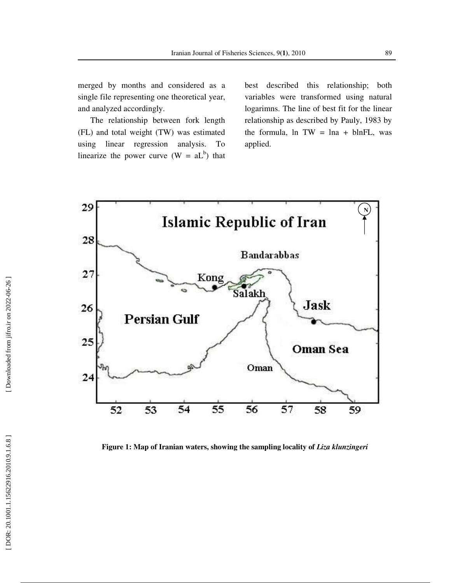merged by months and considered as a single file representing one theoretical year, and analyzed accordingly.

The relationship between fork length (FL) and total weight (TW) was estimated using linear regression analysis. To linearize the power curve  $(W = aL^b)$  that

best described this relationship; both variables were transformed using natural logarimns. The line of best fit for the linear relationship as described by Pauly, 1983 by the formula,  $\ln TW = \ln a + \ln FL$ , was applied.

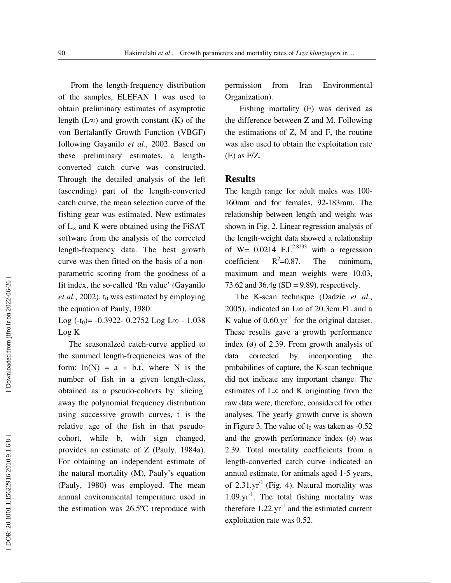From the length-frequency distribution of the samples, ELEFAN 1 was used to obtain preliminary estimates of asymptotic length  $(L\infty)$  and growth constant  $(K)$  of the von Bertalanffy Growth Function (VBGF) following Gayanilo *et al*., 2002. Based on these preliminary estimates, a lengthconverted catch curve was constructed. Through the detailed analysis of the left (ascending) part of the length-converted catch curve, the mean selection curve of the fishing gear was estimated. New estimates of  $L_{\infty}$  and K were obtained using the FiSAT software from the analysis of the corrected length-frequency data. The best growth curve was then fitted on the basis of a nonparametric scoring from the goodness of a fit index, the so-called 'Rn value' (Gayanilo *et al*., 2002). t <sup>0</sup> was estimated by employing the equation of Pauly, 1980:

Log  $(-t_0)$  =  $-0.3922 - 0.2752$  Log L $\infty$  - 1.038 Log K

 The seasonalzed catch-curve applied to the summed length-frequencies was of the form:  $ln(N) = a + b \cdot t'$ , where N is the number of fish in a given length-class, obtained as a pseudo-cohorts by " slicing " away the polynomial frequency distribution using successive growth curves,  $t'$  is the relative age of the fish in that pseudocohort, while b, with sign changed, provides an estimate of Z (Pauly, 1984a). For obtaining an independent estimate of the natural mortality (M), Pauly's equation (Pauly, 1980) was employed. The mean annual environmental temperature used in the estimation was 26.5ºC (reproduce with

permission from Iran Environmental Organization).

 Fishing mortality (F) was derived as the difference between Z and M. Following the estimations of Z, M and F, the routine was also used to obtain the exploitation rate (E) as F/Z.

#### **Results**

The length range for adult males was 100- 160mm and for females, 92-183mm. The relationship between length and weight was shown in Fig. 2. Linear regression analysis of the length-weight data showed a relationship of W=  $0.0214$  F.L<sup>2.8233</sup> with a regression coefficient  $R^2 = 0.87$ . The minimum, maximum and mean weights were 10.03, 73.62 and  $36.4g$  (SD = 9.89), respectively.

 The K-scan technique (Dadzie *et al*., 2005), indicated an L ∞ of 20.3cm FL and a K value of  $0.60$ .yr<sup>-1</sup> for the original dataset. These results gave a growth performance index (ø) of 2.39. From growth analysis of data corrected by incorporating the probabilities of capture, the K-scan technique did not indicate any important change. The estimates of  $L\infty$  and K originating from the raw data were, therefore, considered for other analyses. The yearly growth curve is shown in Figure 3. The value of  $t_0$  was taken as  $-0.52$ and the growth performance index  $(\phi)$  was 2.39. Total mortality coefficients from a length-converted catch curve indicated an annual estimate, for animals aged 1-5 years, of  $2.31.yr^{-1}$  (Fig. 4). Natural mortality was  $1.09 \text{ yr}^{-1}$ . The total fishing mortality was therefore  $1.22.\text{yr}^{-1}$  and the estimated current exploitation rate was 0.52.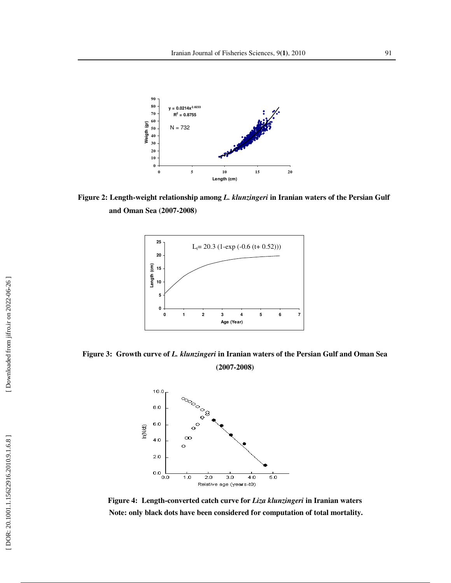

**Figure 2: Length-weight relationship among** *L. klunzingeri* **in Iranian waters of the Persian Gulf and Oman Sea (2007-2008)** 



**Figure 3: Growth curve of** *L. klunzingeri* **in Iranian waters of the Persian Gulf and Oman Sea (2007-2008)** 



**Figure 4: Length-converted catch curve for** *Liza klunzingeri* **in Iranian waters**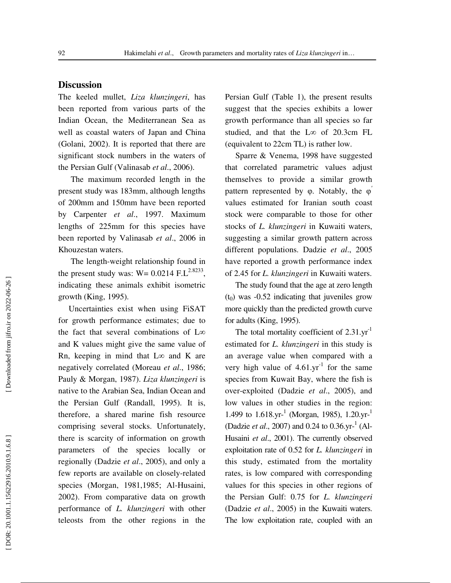# **Discussion**

The keeled mullet, *Liza klunzingeri*, has been reported from various parts of the Indian Ocean, the Mediterranean Sea as well as coastal waters of Japan and China (Golani, 2002). It is reported that there are significant stock numbers in the waters of the Persian Gulf (Valinasab *et al*., 2006).

The maximum recorded length in the present study was 183mm, although lengths of 200mm and 150mm have been reported by Carpenter *et al*., 1997. Maximum lengths of 225mm for this species have been reported by Valinasab *et al*., 2006 in Khouzestan waters.

The length-weight relationship found in the present study was:  $W = 0.0214$  F.L<sup>2.8233</sup>, indicating these animals exhibit isometric growth (King, 1995).

 Uncertainties exist when using FiSAT for growth performance estimates; due to the fact that several combinations of L ∞ and K values might give the same value of Rn, keeping in mind that  $L\infty$  and K are negatively correlated (Moreau *et al*., 1986; Pauly & Morgan, 1987). *Liza klunzingeri* is native to the Arabian Sea, Indian Ocean and the Persian Gulf (Randall, 1995). It is, therefore, a shared marine fish resource comprising several stocks. Unfortunately, there is scarcity of information on growth parameters of the species locally or regionally (Dadzie *et al*., 2005), and only a few reports are available on closely-related species (Morgan, 1981,1985; Al-Husaini, 2002). From comparative data on growth performance of *L. klunzingeri* with other teleosts from the other regions in the

Persian Gulf (Table 1), the present results suggest that the species exhibits a lower growth performance than all species so far studied, and that the L ∞ of 20.3cm FL (equivalent to 22cm TL) is rather low.

 Sparre & Venema, 1998 have suggested that correlated parametric values adjust themselves to provide a similar growth pattern represented by  $\varphi$ . Notably, the  $\varphi$ values estimated for Iranian south coast stock were comparable to those for other stocks of *L. klunzingeri* in Kuwaiti waters, suggesting a similar growth pattern across different populations. Dadzie *et al*., 2005 have reported a growth performance index of 2.45 for *L. klunzingeri* in Kuwaiti waters.

 The study found that the age at zero length (t <sup>0</sup>) was -0.52 indicating that juveniles grow more quickly than the predicted growth curve for adults (King, 1995).

The total mortality coefficient of 2.31.yr<sup>-1</sup> estimated for *L. klunzingeri* in this study is an average value when compared with a very high value of  $4.61.\text{yr}^{-1}$  for the same species from Kuwait Bay, where the fish is over-exploited (Dadzie *et al*., 2005), and low values in other studies in the region: 1.499 to 1.618.yr-<sup>1</sup> (Morgan, 1985), 1.20.yr-<sup>1</sup> (Dadzie *et al.*, 2007) and 0.24 to 0.36.yr-<sup>1</sup> (Al-Husaini *et al*., 2001). The currently observed exploitation rate of 0.52 for *L. klunzingeri* in this study, estimated from the mortality rates, is low compared with corresponding values for this species in other regions of the Persian Gulf: 0.75 for *L. klunzingeri*  (Dadzie *et al*., 2005) in the Kuwaiti waters. The low exploitation rate, coupled with an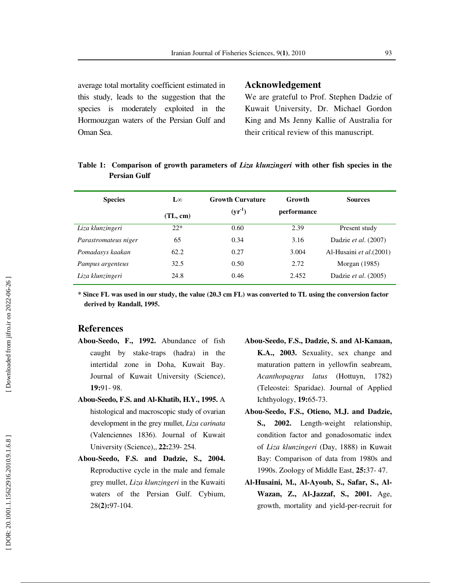average total mortality coefficient estimated in this study, leads to the suggestion that the species is moderately exploited in the Hormouzgan waters of the Persian Gulf and Oman Sea.

#### **Acknowledgement**

We are grateful to Prof. Stephen Dadzie of Kuwait University, Dr. Michael Gordon King and Ms Jenny Kallie of Australia for their critical review of this manuscript.

| <b>Species</b>       | $\mathbf{L}^{\infty}$ | <b>Growth Curvature</b> | Growth      | <b>Sources</b>           |
|----------------------|-----------------------|-------------------------|-------------|--------------------------|
|                      | (TL, cm)              | $(yr^{-1})$             | performance |                          |
| Liza klunzingeri     | $22*$                 | 0.60                    | 2.39        | Present study            |
| Parastromateus niger | 65                    | 0.34                    | 3.16        | Dadzie et al. (2007)     |
| Pomadasys kaakan     | 62.2                  | 0.27                    | 3.004       | Al-Husaini et al. (2001) |
| Pampus argenteus     | 32.5                  | 0.50                    | 2.72        | Morgan $(1985)$          |
| Liza klunzingeri     | 24.8                  | 0.46                    | 2.452       | Dadzie et al. (2005)     |

## **Table 1: Comparison of growth parameters of** *Liza klunzingeri* **with other fish species in the Persian Gulf**

**\* Since FL was used in our study, the value (20.3 cm FL) was converted to TL using the conversion factor derived by Randall, 1995.** 

### **References**

- **Abou-Seedo, F., 1992.** Abundance of fish caught by stake-traps (hadra) in the intertidal zone in Doha, Kuwait Bay. Journal of Kuwait University (Science), **19:**91- 98.
- **Abou-Seedo, F.S. and Al-Khatib, H.Y., 1995.** A histological and macroscopic study of ovarian development in the grey mullet, *Liza carinata* (Valenciennes 1836). Journal of Kuwait University (Science),, **22:**239- 254.
- **Abou-Seedo, F.S. and Dadzie, S., 2004.** Reproductive cycle in the male and female grey mullet, *Liza klunzingeri* in the Kuwaiti waters of the Persian Gulf. Cybium, 28**(2):**97-104.
- **Abou-Seedo, F.S., Dadzie, S. and Al-Kanaan, K.A., 2003.** Sexuality, sex change and maturation pattern in yellowfin seabream, *Acanthopagrus latus* (Hottuyn, 1782) (Teleostei: Sparidae). Journal of Applied Ichthyology, **19:**65-73.
- **Abou-Seedo, F.S., Otieno, M.J. and Dadzie, S., 2002.** Length-weight relationship, condition factor and gonadosomatic index of *Liza klunzingeri* (Day, 1888) in Kuwait Bay: Comparison of data from 1980s and 1990s. Zoology of Middle East, **25:**37- 47.
- **Al-Husaini, M., Al-Ayoub, S., Safar, S., Al-Wazan, Z., Al-Jazzaf, S., 2001.** Age, growth, mortality and yield-per-recruit for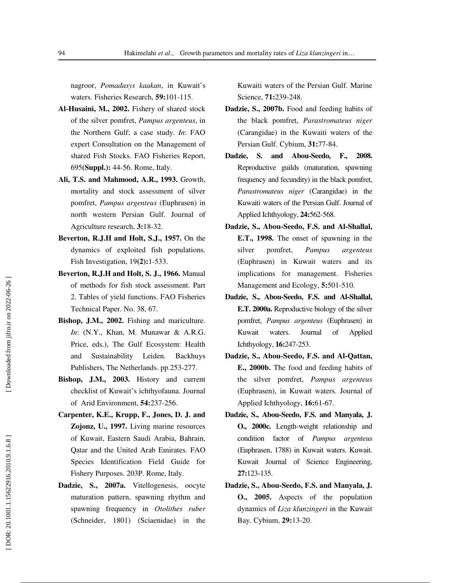nagroor, *Pomadasys kaakan*, in Kuwait's waters. Fisheries Research, **59:**101-115.

- **Al-Husaini, M., 2002.** Fishery of shared stock of the silver pomfret, *Pampus argenteus*, in the Northern Gulf; a case study. *In*: FAO expert Consultation on the Management of shared Fish Stocks. FAO Fisheries Report, 695**(Suppl.):** 44-56. Rome, Italy.
- **Ali, T.S. and Mahmood, A.R., 1993.** Growth, mortality and stock assessment of silver pomfret, *Pampus argenteus* (Euphrasen) in north western Persian Gulf. Journal of Agriculture research, **3:**18-32.
- **Beverton, R.J.H and Holt, S.J., 1957.** On the dynamics of exploited fish populations. Fish Investigation, 19**(2):**1-533.
- **Beverton, R.J.H and Holt, S. J., 1966.** Manual of methods for fish stock assessment. Part 2. Tables of yield functions. FAO Fisheries Technical Paper. No. 38, 67.
- **Bishop, J.M., 2002.** Fishing and mariculture. *In*: (N.Y., Khan, M. Munawar & A.R.G. Price, eds.), The Gulf Ecosystem: Health and Sustainability Leiden. Backhuys Publishers, The Netherlands. pp.253-277.
- **Bishop, J.M., 2003.** History and current checklist of Kuwait's ichthyofauna. Journal of Arid Environment, **54:**237-256.
- **Carpenter, K.E., Krupp, F., Jones, D. J. and Zojonz, U., 1997.** Living marine resources of Kuwait, Eastern Saudi Arabia, Bahrain, Qatar and the United Arab Emirates. FAO Species Identification Field Guide for Fishery Purposes. 203P. Rome, Italy.
- **Dadzie, S., 2007a.** Vitellogenesis, oocyte maturation pattern, spawning rhythm and spawning frequency in *Otolithes ruber* (Schneider, 1801) (Sciaenidae) in the

Kuwaiti waters of the Persian Gulf. Marine Science, **71:**239-248.

- **Dadzie, S., 2007b.** Food and feeding habits of the black pomfret, *Parastromateus niger* (Carangidae) in the Kuwaiti waters of the Persian Gulf. Cybium, **31:**77-84.
- **Dadzie, S. and Abou-Seedo, F., 2008.** Reproductive guilds (maturation, spawning frequency and fecundity) in the black pomfret, *Parastromateus niger* (Carangidae) in the Kuwaiti waters of the Persian Gulf. Journal of Applied Ichthyology, **24:**562-568.
- **Dadzie, S., Abou-Seedo, F.S. and Al-Shallal, E.T., 1998.** The onset of spawning in the silver pomfret, *Pampus argenteus* (Euphrasen) in Kuwait waters and its implications for management. Fisheries Management and Ecology, **5:**501-510.
- **Dadzie, S., Abou-Seedo, F.S. and Al-Shallal, E.T. 2000a.** Reproductive biology of the silver pomfret, *Pampus argenteus* (Euphrasen) in Kuwait waters. Journal of Applied Ichthyology, **16:**247-253.
- **Dadzie, S., Abou-Seedo, F.S. and Al-Qattan, E., 2000b.** The food and feeding habits of the silver pomfret, *Pampus argenteus* (Euphrasen), in Kuwait waters. Journal of Applied Ichthyology, **16:**61-67.
- **Dadzie, S., Abou-Seedo, F.S. and Manyala, J. O., 2000c.** Length-weight relationship and condition factor of *Pampus argenteus* (Euphrasen, 1788) in Kuwait waters. Kuwait. Kuwait Journal of Science Engineering, **27:**123-135.
- **Dadzie, S., Abou-Seedo, F.S. and Manyala, J. O., 2005.** Aspects of the population dynamics of *Liza klunzingeri* in the Kuwait Bay. Cybium, **29:**13-20.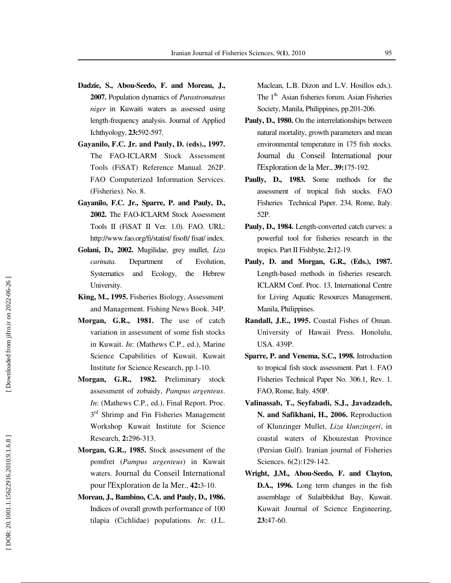- **Dadzie, S., Abou-Seedo, F. and Moreau, J., 2007.** Population dynamics of *Parastromateus niger* in Kuwaiti waters as assessed using length-frequency analysis. Journal of Applied Ichthyology, **23:**592-597.
- **Gayanilo, F.C. Jr. and Pauly, D. (eds)., 1997.** The FAO-ICLARM Stock Assessment Tools (FiSAT) Reference Manual. 262P. FAO Computerized Information Services. (Fisheries). No. 8.
- **Gayanilo, F.C. Jr., Sparre, P. and Pauly, D., 2002.** The FAO-ICLARM Stock Assessment Tools II (FiSAT II Ver. 1.0). FAO. URL: http://www.fao.org/fi/statist/ fisoft/ fisat/ index.
- **Golani, D., 2002.** Mugilidae, grey mullet, *Liza carinata*. Department of Evolution, Systematics and Ecology, the Hebrew University.
- **King, M., 1995.** Fisheries Biology, Assessment and Management. Fishing News Book. 34P.
- **Morgan, G.R., 1981.** The use of catch variation in assessment of some fish stocks in Kuwait. *In*: (Mathews C.P., ed.), Marine Science Capabilities of Kuwait. Kuwait Institute for Science Research, pp.1-10.
- **Morgan, G.R., 1982.** Preliminary stock assessment of zobaidy, *Pampus argenteus*. *In*: (Mathews C.P., ed.), Final Report. Proc.<br>3<sup>rd</sup> Shrimp and Fin Fisheries Management Workshop Kuwait Institute for Science Research, **2:**296-313.
- **Morgan, G.R., 1985.** Stock assessment of the pomfret (*Pampus argenteus*) in Kuwait waters. Journal du Conseil International pour l'Exploration de la Mer., **42:**3-10.
- **Moreau, J., Bambino, C.A. and Pauly, D., 1986.** Indices of overall growth performance of 100 tilapia (Cichlidae) populations. *In*: (J.L.

Maclean, L.B. Dizon and L.V. Hosillos eds.). The  $1<sup>th</sup>$  Asian fisheries forum. Asian Fisheries Society, Manila, Philippines, pp.201-206.

- **Pauly, D., 1980.** On the interrelationships between natural mortality, growth parameters and mean environmental temperature in 175 fish stocks. Journal du Conseil International pour l'Exploration de la Mer., **39:**175-192.
- **Paully, D., 1983.** Some methods for the assessment of tropical fish stocks. FAO Fisheries Technical Paper. 234, Rome, Italy. 52P.
- **Pauly, D., 1984.** Length-converted catch curves: a powerful tool for fisheries research in the tropics. Part II Fishbyte, **2:**12-19.
- **Pauly, D. and Morgan, G.R., (Eds.), 1987.** Length-based methods in fisheries research. ICLARM Conf. Proc. 13, International Centre for Living Aquatic Resources Management, Manila, Philippines.
- **Randall, J.E., 1995.** Coastal Fishes of Oman. University of Hawaii Press. Honolulu, USA. 439P.
- **Sparre, P. and Venema, S.C., 1998.** Introduction to tropical fish stock assessment. Part 1. FAO Fisheries Technical Paper No. 306.1, Rev. 1. FAO, Rome, Italy. 450P.
- **Valinassab, T., Seyfabadi, S.J., Javadzadeh, N. and Safikhani, H., 2006.** Reproduction of Klunzinger Mullet, *Liza klunzingeri*, in coastal waters of Khouzestan Province (Persian Gulf). Iranian journal of Fisheries Sciences. 6(2):129-142.
- **Wright, J.M., Abou-Seedo, F. and Clayton, D.A., 1996.** Long term changes in the fish assemblage of Sulaibbikhat Bay, Kuwait. Kuwait Journal of Science Engineering, **23:**47-60.